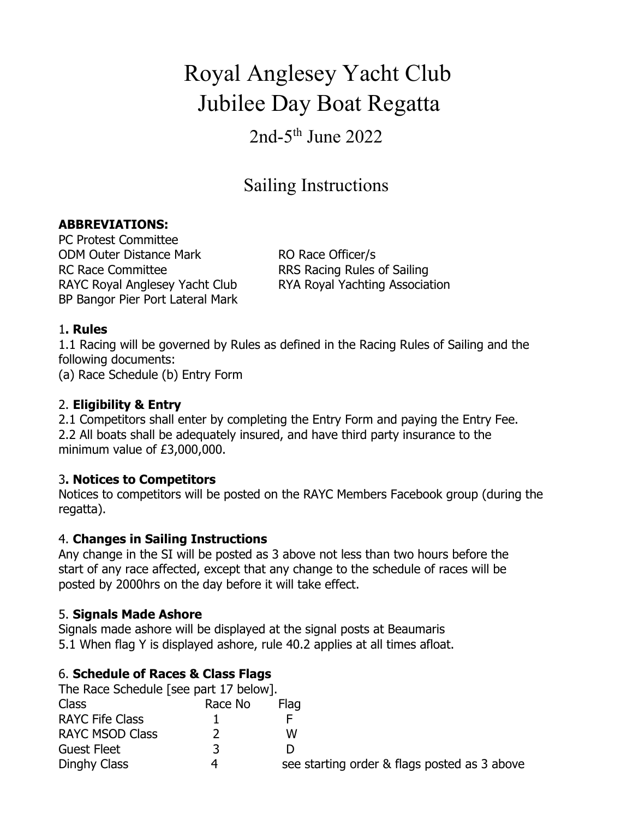# Royal Anglesey Yacht Club Jubilee Day Boat Regatta

# $2nd-5<sup>th</sup>$  June  $2022$

# Sailing Instructions

#### **ABBREVIATIONS:**

PC Protest Committee ODM Outer Distance Mark RO Race Officer/s RC Race Committee RRS Racing Rules of Sailing RAYC Royal Anglesey Yacht Club RYA Royal Yachting Association BP Bangor Pier Port Lateral Mark

#### 1**. Rules**

1.1 Racing will be governed by Rules as defined in the Racing Rules of Sailing and the following documents:

(a) Race Schedule (b) Entry Form

#### 2. **Eligibility & Entry**

2.1 Competitors shall enter by completing the Entry Form and paying the Entry Fee. 2.2 All boats shall be adequately insured, and have third party insurance to the minimum value of £3,000,000.

#### 3**. Notices to Competitors**

Notices to competitors will be posted on the RAYC Members Facebook group (during the regatta).

#### 4. **Changes in Sailing Instructions**

Any change in the SI will be posted as 3 above not less than two hours before the start of any race affected, except that any change to the schedule of races will be posted by 2000hrs on the day before it will take effect.

#### 5. **Signals Made Ashore**

Signals made ashore will be displayed at the signal posts at Beaumaris 5.1 When flag Y is displayed ashore, rule 40.2 applies at all times afloat.

#### 6. **Schedule of Races & Class Flags**

| The Race Schedule [see part 17 below]. |         |                                              |  |
|----------------------------------------|---------|----------------------------------------------|--|
| Class                                  | Race No | Flag                                         |  |
| <b>RAYC Fife Class</b>                 |         |                                              |  |
| <b>RAYC MSOD Class</b>                 |         | w                                            |  |
| <b>Guest Fleet</b>                     |         |                                              |  |
| Dinghy Class                           | 4       | see starting order & flags posted as 3 above |  |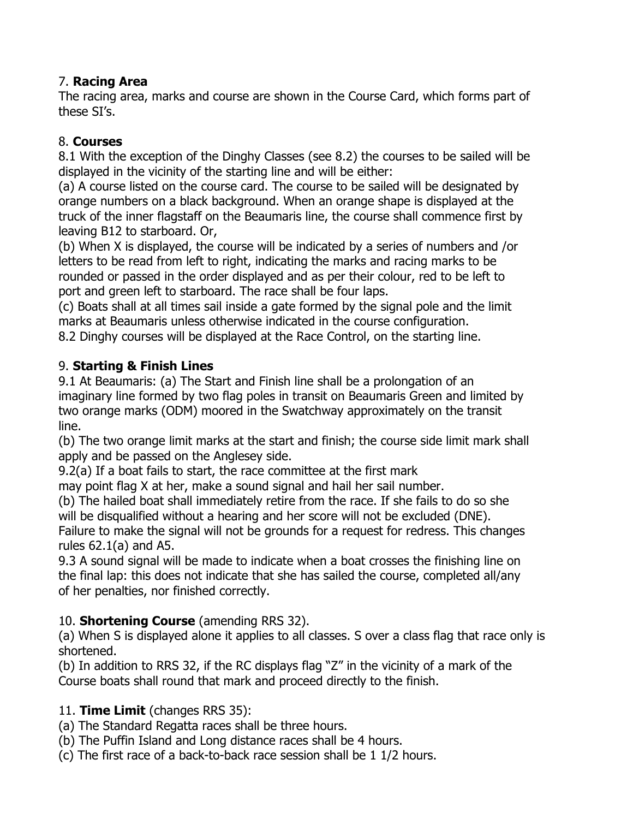### 7. **Racing Area**

The racing area, marks and course are shown in the Course Card, which forms part of these SI's.

# 8. **Courses**

8.1 With the exception of the Dinghy Classes (see 8.2) the courses to be sailed will be displayed in the vicinity of the starting line and will be either:

(a) A course listed on the course card. The course to be sailed will be designated by orange numbers on a black background. When an orange shape is displayed at the truck of the inner flagstaff on the Beaumaris line, the course shall commence first by leaving B12 to starboard. Or,

(b) When X is displayed, the course will be indicated by a series of numbers and /or letters to be read from left to right, indicating the marks and racing marks to be rounded or passed in the order displayed and as per their colour, red to be left to port and green left to starboard. The race shall be four laps.

(c) Boats shall at all times sail inside a gate formed by the signal pole and the limit marks at Beaumaris unless otherwise indicated in the course configuration.

8.2 Dinghy courses will be displayed at the Race Control, on the starting line.

# 9. **Starting & Finish Lines**

9.1 At Beaumaris: (a) The Start and Finish line shall be a prolongation of an imaginary line formed by two flag poles in transit on Beaumaris Green and limited by two orange marks (ODM) moored in the Swatchway approximately on the transit line.

(b) The two orange limit marks at the start and finish; the course side limit mark shall apply and be passed on the Anglesey side.

9.2(a) If a boat fails to start, the race committee at the first mark

may point flag X at her, make a sound signal and hail her sail number.

(b) The hailed boat shall immediately retire from the race. If she fails to do so she will be disqualified without a hearing and her score will not be excluded (DNE). Failure to make the signal will not be grounds for a request for redress. This changes rules 62.1(a) and A5.

9.3 A sound signal will be made to indicate when a boat crosses the finishing line on the final lap: this does not indicate that she has sailed the course, completed all/any of her penalties, nor finished correctly.

# 10. **Shortening Course** (amending RRS 32).

(a) When S is displayed alone it applies to all classes. S over a class flag that race only is shortened.

(b) In addition to RRS 32, if the RC displays flag "Z" in the vicinity of a mark of the Course boats shall round that mark and proceed directly to the finish.

# 11. **Time Limit** (changes RRS 35):

(a) The Standard Regatta races shall be three hours.

(b) The Puffin Island and Long distance races shall be 4 hours.

(c) The first race of a back-to-back race session shall be 1 1/2 hours.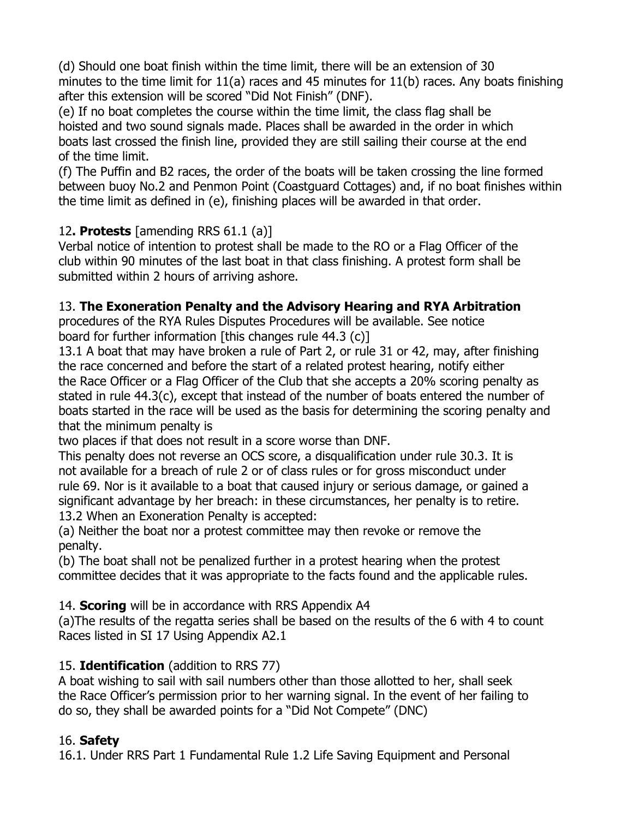(d) Should one boat finish within the time limit, there will be an extension of 30 minutes to the time limit for 11(a) races and 45 minutes for 11(b) races. Any boats finishing after this extension will be scored "Did Not Finish" (DNF).

(e) If no boat completes the course within the time limit, the class flag shall be hoisted and two sound signals made. Places shall be awarded in the order in which boats last crossed the finish line, provided they are still sailing their course at the end of the time limit.

(f) The Puffin and B2 races, the order of the boats will be taken crossing the line formed between buoy No.2 and Penmon Point (Coastguard Cottages) and, if no boat finishes within the time limit as defined in (e), finishing places will be awarded in that order.

### 12**. Protests** [amending RRS 61.1 (a)]

Verbal notice of intention to protest shall be made to the RO or a Flag Officer of the club within 90 minutes of the last boat in that class finishing. A protest form shall be submitted within 2 hours of arriving ashore.

#### 13. **The Exoneration Penalty and the Advisory Hearing and RYA Arbitration**

procedures of the RYA Rules Disputes Procedures will be available. See notice board for further information [this changes rule 44.3 (c)]

13.1 A boat that may have broken a rule of Part 2, or rule 31 or 42, may, after finishing the race concerned and before the start of a related protest hearing, notify either the Race Officer or a Flag Officer of the Club that she accepts a 20% scoring penalty as stated in rule 44.3(c), except that instead of the number of boats entered the number of boats started in the race will be used as the basis for determining the scoring penalty and that the minimum penalty is

two places if that does not result in a score worse than DNF.

This penalty does not reverse an OCS score, a disqualification under rule 30.3. It is not available for a breach of rule 2 or of class rules or for gross misconduct under rule 69. Nor is it available to a boat that caused injury or serious damage, or gained a significant advantage by her breach: in these circumstances, her penalty is to retire. 13.2 When an Exoneration Penalty is accepted:

(a) Neither the boat nor a protest committee may then revoke or remove the penalty.

(b) The boat shall not be penalized further in a protest hearing when the protest committee decides that it was appropriate to the facts found and the applicable rules.

14. **Scoring** will be in accordance with RRS Appendix A4

(a)The results of the regatta series shall be based on the results of the 6 with 4 to count Races listed in SI 17 Using Appendix A2.1

# 15. **Identification** (addition to RRS 77)

A boat wishing to sail with sail numbers other than those allotted to her, shall seek the Race Officer's permission prior to her warning signal. In the event of her failing to do so, they shall be awarded points for a "Did Not Compete" (DNC)

# 16. **Safety**

16.1. Under RRS Part 1 Fundamental Rule 1.2 Life Saving Equipment and Personal